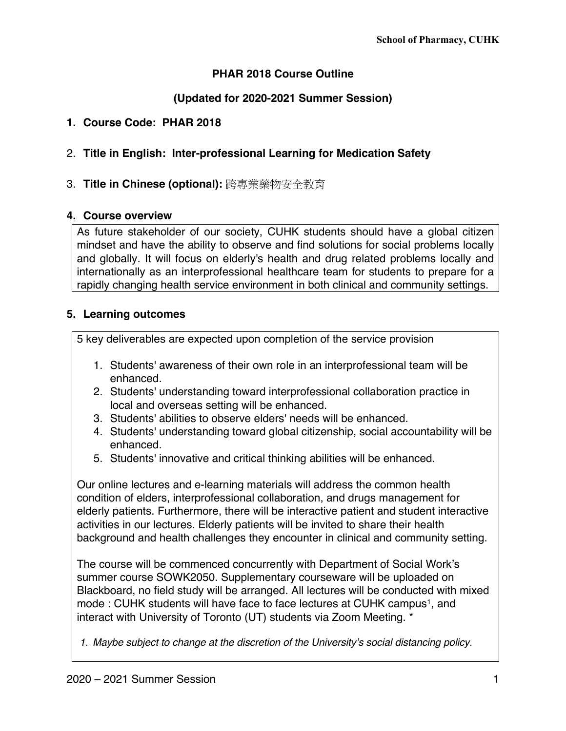# **PHAR 2018 Course Outline**

# **(Updated for 2020-2021 Summer Session)**

### **1. Course Code: PHAR 2018**

# 2. **Title in English: Inter-professional Learning for Medication Safety**

# 3. **Title in Chinese (optional):** 跨專業藥物安全教育

### **4. Course overview**

As future stakeholder of our society, CUHK students should have a global citizen mindset and have the ability to observe and find solutions for social problems locally and globally. It will focus on elderly's health and drug related problems locally and internationally as an interprofessional healthcare team for students to prepare for a rapidly changing health service environment in both clinical and community settings.

### **5. Learning outcomes**

5 key deliverables are expected upon completion of the service provision

- 1. Students' awareness of their own role in an interprofessional team will be enhanced.
- 2. Students' understanding toward interprofessional collaboration practice in local and overseas setting will be enhanced.
- 3. Students' abilities to observe elders' needs will be enhanced.
- 4. Students' understanding toward global citizenship, social accountability will be enhanced.
- 5. Students' innovative and critical thinking abilities will be enhanced.

Our online lectures and e-learning materials will address the common health condition of elders, interprofessional collaboration, and drugs management for elderly patients. Furthermore, there will be interactive patient and student interactive activities in our lectures. Elderly patients will be invited to share their health background and health challenges they encounter in clinical and community setting.

The course will be commenced concurrently with Department of Social Work's summer course SOWK2050. Supplementary courseware will be uploaded on Blackboard, no field study will be arranged. All lectures will be conducted with mixed mode : CUHK students will have face to face lectures at CUHK campus<sup>1</sup>, and interact with University of Toronto (UT) students via Zoom Meeting. \*

*1. Maybe subject to change at the discretion of the University's social distancing policy.*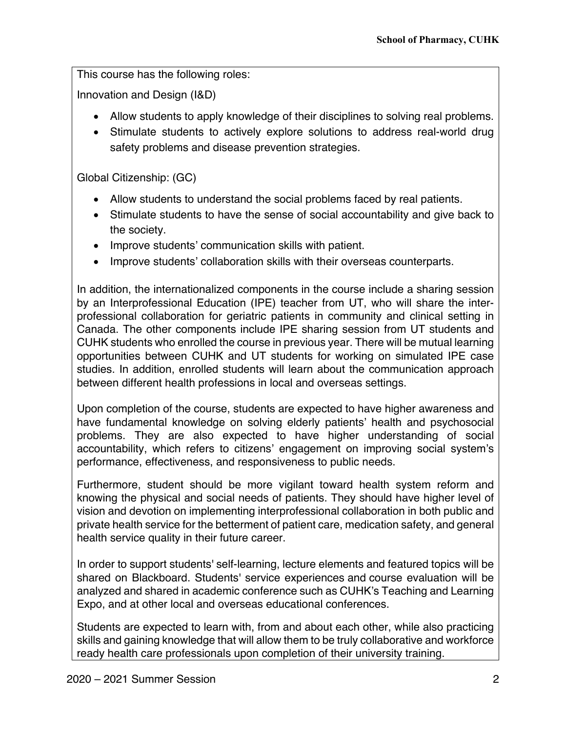This course has the following roles:

Innovation and Design (I&D)

- Allow students to apply knowledge of their disciplines to solving real problems.
- Stimulate students to actively explore solutions to address real-world drug safety problems and disease prevention strategies.

Global Citizenship: (GC)

- Allow students to understand the social problems faced by real patients.
- Stimulate students to have the sense of social accountability and give back to the society.
- Improve students' communication skills with patient.
- Improve students' collaboration skills with their overseas counterparts.

In addition, the internationalized components in the course include a sharing session by an Interprofessional Education (IPE) teacher from UT, who will share the interprofessional collaboration for geriatric patients in community and clinical setting in Canada. The other components include IPE sharing session from UT students and CUHK students who enrolled the course in previous year. There will be mutual learning opportunities between CUHK and UT students for working on simulated IPE case studies. In addition, enrolled students will learn about the communication approach between different health professions in local and overseas settings.

Upon completion of the course, students are expected to have higher awareness and have fundamental knowledge on solving elderly patients' health and psychosocial problems. They are also expected to have higher understanding of social accountability, which refers to citizens' engagement on improving social system's performance, effectiveness, and responsiveness to public needs.

Furthermore, student should be more vigilant toward health system reform and knowing the physical and social needs of patients. They should have higher level of vision and devotion on implementing interprofessional collaboration in both public and private health service for the betterment of patient care, medication safety, and general health service quality in their future career.

In order to support students' self-learning, lecture elements and featured topics will be shared on Blackboard. Students' service experiences and course evaluation will be analyzed and shared in academic conference such as CUHK's Teaching and Learning Expo, and at other local and overseas educational conferences.

Students are expected to learn with, from and about each other, while also practicing skills and gaining knowledge that will allow them to be truly collaborative and workforce ready health care professionals upon completion of their university training.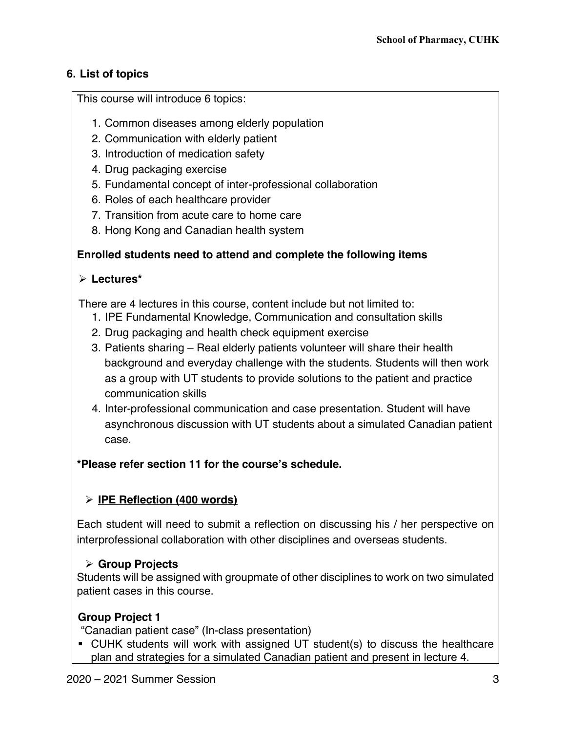# **6. List of topics**

This course will introduce 6 topics:

- 1. Common diseases among elderly population
- 2. Communication with elderly patient
- 3. Introduction of medication safety
- 4. Drug packaging exercise
- 5. Fundamental concept of inter-professional collaboration
- 6. Roles of each healthcare provider
- 7. Transition from acute care to home care
- 8. Hong Kong and Canadian health system

# **Enrolled students need to attend and complete the following items**

# Ø **Lectures\***

There are 4 lectures in this course, content include but not limited to:

- 1. IPE Fundamental Knowledge, Communication and consultation skills
- 2. Drug packaging and health check equipment exercise
- 3. Patients sharing Real elderly patients volunteer will share their health background and everyday challenge with the students. Students will then work as a group with UT students to provide solutions to the patient and practice communication skills
- 4. Inter-professional communication and case presentation. Student will have asynchronous discussion with UT students about a simulated Canadian patient case.

# **\*Please refer section 11 for the course's schedule.**

# Ø **IPE Reflection (400 words)**

Each student will need to submit a reflection on discussing his / her perspective on interprofessional collaboration with other disciplines and overseas students.

# Ø **Group Projects**

Students will be assigned with groupmate of other disciplines to work on two simulated patient cases in this course.

# **Group Project 1**

"Canadian patient case" (In-class presentation)

■ CUHK students will work with assigned UT student(s) to discuss the healthcare plan and strategies for a simulated Canadian patient and present in lecture 4.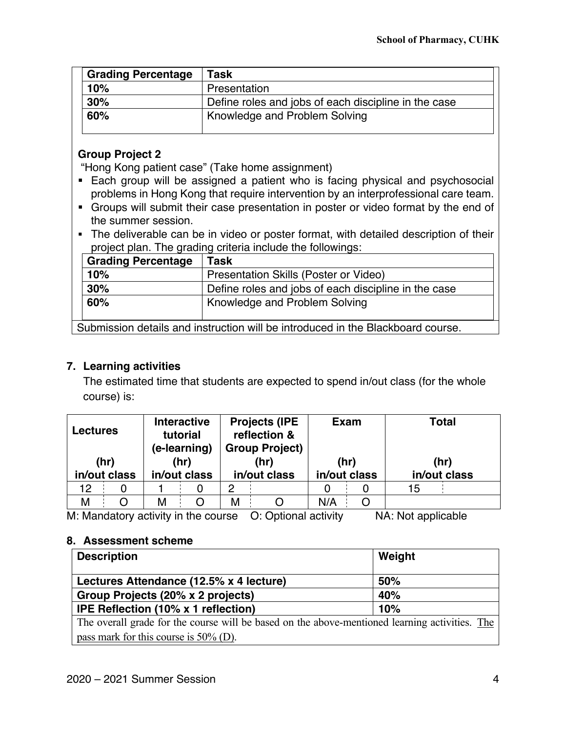| <b>Grading Percentage</b> | Task                                                 |
|---------------------------|------------------------------------------------------|
| 10%                       | Presentation                                         |
| 30%                       | Define roles and jobs of each discipline in the case |
| 60%                       | Knowledge and Problem Solving                        |

# **Group Project 2**

"Hong Kong patient case" (Take home assignment)

- Each group will be assigned a patient who is facing physical and psychosocial problems in Hong Kong that require intervention by an interprofessional care team.
- § Groups will submit their case presentation in poster or video format by the end of the summer session.
- The deliverable can be in video or poster format, with detailed description of their project plan. The grading criteria include the followings:

| <b>Grading Percentage</b> | Task                                                 |
|---------------------------|------------------------------------------------------|
| 10%                       | Presentation Skills (Poster or Video)                |
| 30%                       | Define roles and jobs of each discipline in the case |
| 60%                       | Knowledge and Problem Solving                        |

Submission details and instruction will be introduced in the Blackboard course.

# **7. Learning activities**

The estimated time that students are expected to spend in/out class (for the whole course) is:

| <b>Lectures</b> |  | <b>Interactive</b><br>tutorial<br>(e-learning) |              | <b>Projects (IPE</b><br>reflection &<br><b>Group Project)</b> |              | <b>Exam</b> |              | <b>Total</b> |              |
|-----------------|--|------------------------------------------------|--------------|---------------------------------------------------------------|--------------|-------------|--------------|--------------|--------------|
| (hr)            |  |                                                | (hr)         |                                                               | (hr)         |             | (hr)         |              | (hr)         |
| in/out class    |  |                                                | in/out class |                                                               | in/out class |             | in/out class |              | in/out class |
| 12              |  |                                                |              | 2                                                             |              |             |              | 15           |              |
| М               |  | м                                              |              | М                                                             |              | N/A         |              |              |              |

M: Mandatory activity in the course O: Optional activity NA: Not applicable

# **8. Assessment scheme**

| <b>Description</b>                                                                             | Weight |  |
|------------------------------------------------------------------------------------------------|--------|--|
| Lectures Attendance (12.5% x 4 lecture)                                                        | 50%    |  |
| Group Projects (20% x 2 projects)                                                              | 40%    |  |
| IPE Reflection (10% x 1 reflection)                                                            | 10%    |  |
| The overall grade for the course will be based on the above-mentioned learning activities. The |        |  |
| pass mark for this course is $50\%$ (D).                                                       |        |  |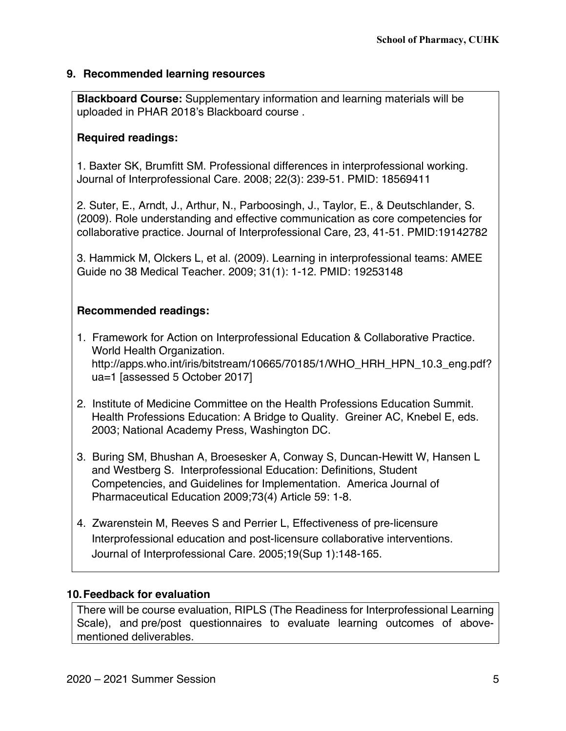## **9. Recommended learning resources**

**Blackboard Course:** Supplementary information and learning materials will be uploaded in PHAR 2018's Blackboard course .

## **Required readings:**

1. Baxter SK, Brumfitt SM. Professional differences in interprofessional working. Journal of Interprofessional Care. 2008; 22(3): 239-51. PMID: 18569411

2. Suter, E., Arndt, J., Arthur, N., Parboosingh, J., Taylor, E., & Deutschlander, S. (2009). Role understanding and effective communication as core competencies for collaborative practice. Journal of Interprofessional Care, 23, 41-51. PMID:19142782

3. Hammick M, Olckers L, et al. (2009). Learning in interprofessional teams: AMEE Guide no 38 Medical Teacher. 2009; 31(1): 1-12. PMID: 19253148

# **Recommended readings:**

- 1. Framework for Action on Interprofessional Education & Collaborative Practice. World Health Organization. http://apps.who.int/iris/bitstream/10665/70185/1/WHO\_HRH\_HPN\_10.3\_eng.pdf? ua=1 [assessed 5 October 2017]
- 2. Institute of Medicine Committee on the Health Professions Education Summit. Health Professions Education: A Bridge to Quality. Greiner AC, Knebel E, eds. 2003; National Academy Press, Washington DC.
- 3. Buring SM, Bhushan A, Broesesker A, Conway S, Duncan-Hewitt W, Hansen L and Westberg S. Interprofessional Education: Definitions, Student Competencies, and Guidelines for Implementation. America Journal of Pharmaceutical Education 2009;73(4) Article 59: 1-8.
- 4. Zwarenstein M, Reeves S and Perrier L, Effectiveness of pre-licensure Interprofessional education and post-licensure collaborative interventions. Journal of Interprofessional Care. 2005;19(Sup 1):148-165.

# **10.Feedback for evaluation**

There will be course evaluation, RIPLS (The Readiness for Interprofessional Learning Scale), and pre/post questionnaires to evaluate learning outcomes of abovementioned deliverables.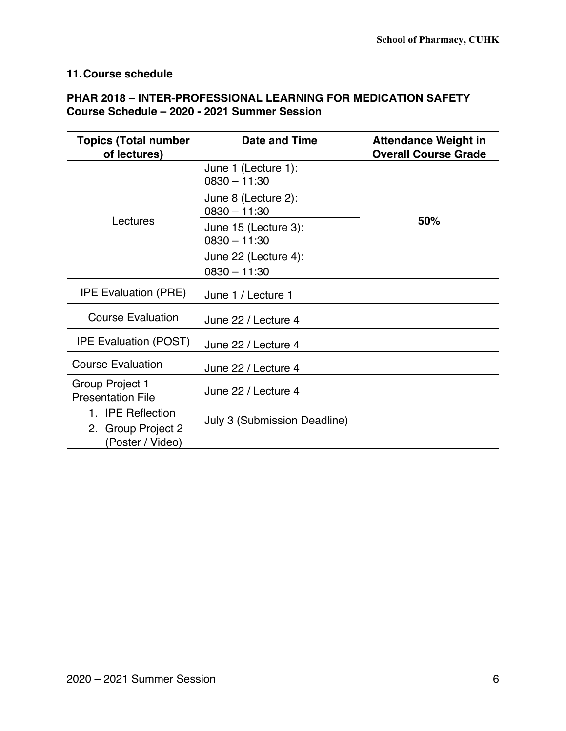# **11.Course schedule**

# **PHAR 2018 – INTER-PROFESSIONAL LEARNING FOR MEDICATION SAFETY Course Schedule – 2020 - 2021 Summer Session**

| <b>Topics (Total number</b><br>of lectures)                 | <b>Date and Time</b>                          | <b>Attendance Weight in</b><br><b>Overall Course Grade</b> |  |  |
|-------------------------------------------------------------|-----------------------------------------------|------------------------------------------------------------|--|--|
|                                                             | June 1 (Lecture 1):<br>$0830 - 11:30$         |                                                            |  |  |
| Lectures                                                    | June 8 (Lecture 2):<br>$0830 - 11:30$         |                                                            |  |  |
|                                                             | 50%<br>June 15 (Lecture 3):<br>$0830 - 11:30$ |                                                            |  |  |
|                                                             | June 22 (Lecture 4):                          |                                                            |  |  |
|                                                             | $0830 - 11:30$                                |                                                            |  |  |
| <b>IPE Evaluation (PRE)</b>                                 | June 1 / Lecture 1                            |                                                            |  |  |
| <b>Course Evaluation</b>                                    | June 22 / Lecture 4                           |                                                            |  |  |
| <b>IPE Evaluation (POST)</b>                                | June 22 / Lecture 4                           |                                                            |  |  |
| <b>Course Evaluation</b>                                    | June 22 / Lecture 4                           |                                                            |  |  |
| Group Project 1<br><b>Presentation File</b>                 | June 22 / Lecture 4                           |                                                            |  |  |
| 1. IPE Reflection<br>2. Group Project 2<br>(Poster / Video) | <b>July 3 (Submission Deadline)</b>           |                                                            |  |  |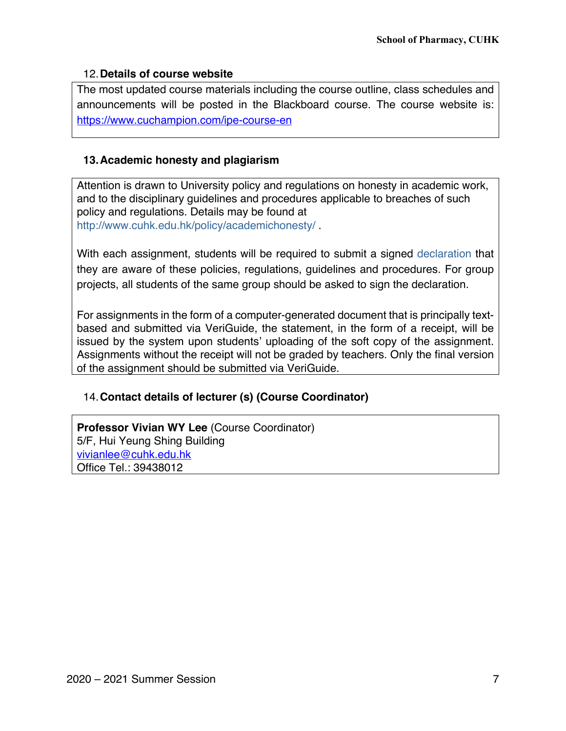### 12.**Details of course website**

The most updated course materials including the course outline, class schedules and announcements will be posted in the Blackboard course. The course website is: https://www.cuchampion.com/ipe-course-en

## **13.Academic honesty and plagiarism**

Attention is drawn to University policy and regulations on honesty in academic work, and to the disciplinary guidelines and procedures applicable to breaches of such policy and regulations. Details may be found at http://www.cuhk.edu.hk/policy/academichonesty/ .

With each assignment, students will be required to submit a signed declaration that they are aware of these policies, regulations, guidelines and procedures. For group projects, all students of the same group should be asked to sign the declaration.

For assignments in the form of a computer-generated document that is principally textbased and submitted via VeriGuide, the statement, in the form of a receipt, will be issued by the system upon students' uploading of the soft copy of the assignment. Assignments without the receipt will not be graded by teachers. Only the final version of the assignment should be submitted via VeriGuide.

# 14.**Contact details of lecturer (s) (Course Coordinator)**

**Professor Vivian WY Lee** (Course Coordinator) 5/F, Hui Yeung Shing Building vivianlee@cuhk.edu.hk Office Tel.: 39438012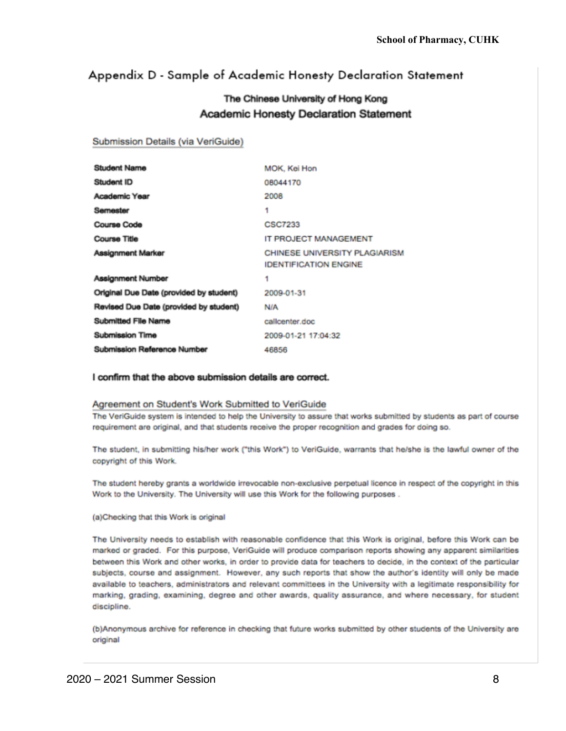# Appendix D - Sample of Academic Honesty Declaration Statement

# The Chinese University of Hong Kong **Academic Honesty Declaration Statement**

### Submission Details (via VeriGuide)

| <b>Student Name</b>                     | MOK, Kei Hon                                                         |
|-----------------------------------------|----------------------------------------------------------------------|
| Student ID                              | 08044170                                                             |
| <b>Academic Year</b>                    | 2008                                                                 |
| Semester                                | 1                                                                    |
| <b>Course Code</b>                      | <b>CSC7233</b>                                                       |
| <b>Course Title</b>                     | IT PROJECT MANAGEMENT                                                |
| Assignment Marker                       | <b>CHINESE UNIVERSITY PLAGIARISM</b><br><b>IDENTIFICATION ENGINE</b> |
| <b>Assignment Number</b>                | 1                                                                    |
| Original Due Date (provided by student) | 2009-01-31                                                           |
| Revised Due Date (provided by student)  | <b>N/A</b>                                                           |
| Submitted File Name                     | callcenter.doc                                                       |
| <b>Submission Time</b>                  | 2009-01-21 17:04:32                                                  |
| <b>Submission Reference Number</b>      | 46856                                                                |

#### I confirm that the above submission details are correct.

#### Agreement on Student's Work Submitted to VeriGuide

The VeriGuide system is intended to help the University to assure that works submitted by students as part of course requirement are original, and that students receive the proper recognition and grades for doing so.

The student, in submitting his/her work ("this Work") to VeriGuide, warrants that he/she is the lawful owner of the copyright of this Work.

The student hereby grants a worldwide irrevocable non-exclusive perpetual licence in respect of the copyright in this Work to the University. The University will use this Work for the following purposes.

#### (a)Checking that this Work is original

The University needs to establish with reasonable confidence that this Work is original, before this Work can be marked or graded. For this purpose, VeriGuide will produce comparison reports showing any apparent similarities between this Work and other works, in order to provide data for teachers to decide, in the context of the particular subjects, course and assignment. However, any such reports that show the author's identity will only be made available to teachers, administrators and relevant committees in the University with a legitimate responsibility for marking, grading, examining, degree and other awards, quality assurance, and where necessary, for student discipline.

(b)Anonymous archive for reference in checking that future works submitted by other students of the University are original